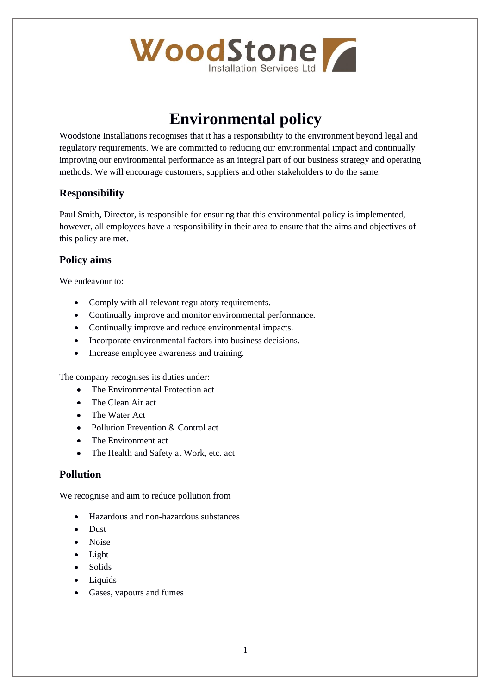

# **Environmental policy**

Woodstone Installations recognises that it has a responsibility to the environment beyond legal and regulatory requirements. We are committed to reducing our environmental impact and continually improving our environmental performance as an integral part of our business strategy and operating methods. We will encourage customers, suppliers and other stakeholders to do the same.

### **Responsibility**

Paul Smith, Director, is responsible for ensuring that this environmental policy is implemented, however, all employees have a responsibility in their area to ensure that the aims and objectives of this policy are met.

#### **Policy aims**

We endeavour to:

- Comply with all relevant regulatory requirements.
- Continually improve and monitor environmental performance.
- Continually improve and reduce environmental impacts.
- Incorporate environmental factors into business decisions.
- Increase employee awareness and training.

The company recognises its duties under:

- The Environmental Protection act
- The Clean Air act
- The Water Act
- Pollution Prevention & Control act
- The Environment act
- The Health and Safety at Work, etc. act

#### **Pollution**

We recognise and aim to reduce pollution from

- Hazardous and non-hazardous substances
- Dust
- Noise
- Light
- Solids
- Liquids
- Gases, vapours and fumes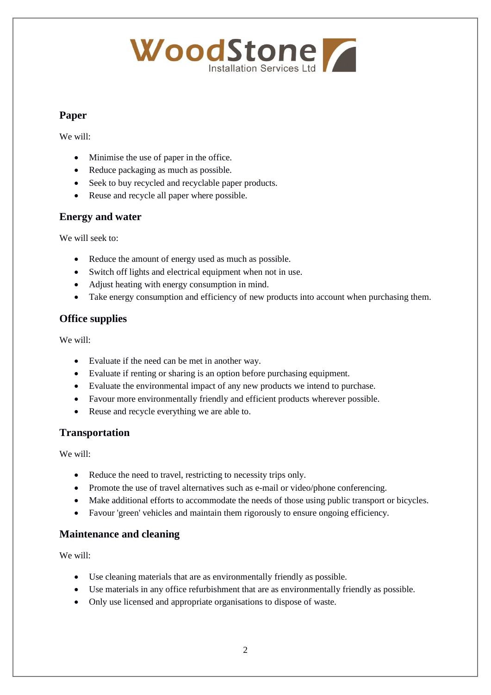# WoodStone

## **Paper**

We will:

- Minimise the use of paper in the office.
- Reduce packaging as much as possible.
- Seek to buy recycled and recyclable paper products.
- Reuse and recycle all paper where possible.

# **Energy and water**

We will seek to:

- Reduce the amount of energy used as much as possible.
- Switch off lights and electrical equipment when not in use.
- Adjust heating with energy consumption in mind.
- Take energy consumption and efficiency of new products into account when purchasing them.

# **Office supplies**

We will:

- Evaluate if the need can be met in another way.
- Evaluate if renting or sharing is an option before purchasing equipment.
- Evaluate the environmental impact of any new products we intend to purchase.
- Favour more environmentally friendly and efficient products wherever possible.
- Reuse and recycle everything we are able to.

### **Transportation**

We will:

- Reduce the need to travel, restricting to necessity trips only.
- Promote the use of travel alternatives such as e-mail or video/phone conferencing.
- Make additional efforts to accommodate the needs of those using public transport or bicycles.
- Favour 'green' vehicles and maintain them rigorously to ensure ongoing efficiency.

### **Maintenance and cleaning**

We will:

- Use cleaning materials that are as environmentally friendly as possible.
- Use materials in any office refurbishment that are as environmentally friendly as possible.
- Only use licensed and appropriate organisations to dispose of waste.